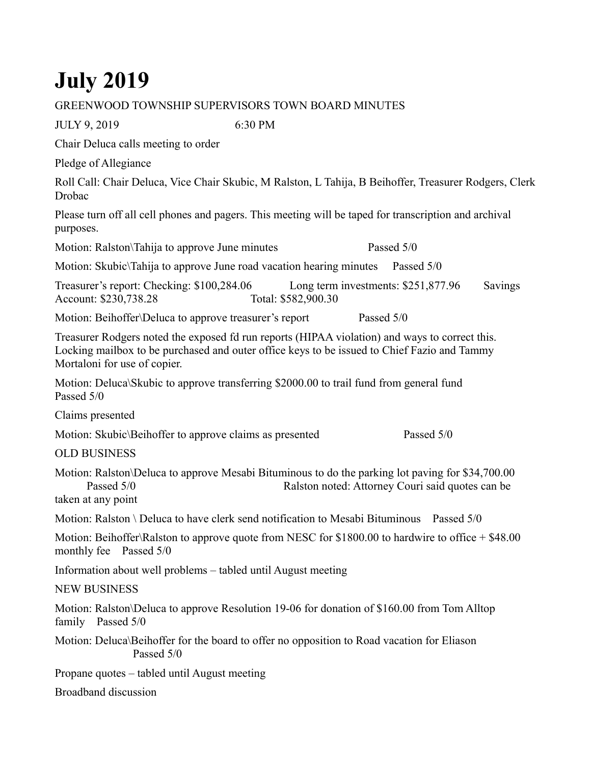## **July 2019**

## GREENWOOD TOWNSHIP SUPERVISORS TOWN BOARD MINUTES

JULY 9, 2019 6:30 PM

Chair Deluca calls meeting to order

Pledge of Allegiance

Roll Call: Chair Deluca, Vice Chair Skubic, M Ralston, L Tahija, B Beihoffer, Treasurer Rodgers, Clerk Drobac

Please turn off all cell phones and pagers. This meeting will be taped for transcription and archival purposes.

Motion: Ralston\Tahija to approve June minutes Passed 5/0

Motion: Skubic\Tahija to approve June road vacation hearing minutes Passed 5/0

Treasurer's report: Checking: \$100,284.06 Long term investments: \$251,877.96 Savings Account: \$230,738.28 Total: \$582,900.30

Motion: Beihoffer\Deluca to approve treasurer's report Passed 5/0

Treasurer Rodgers noted the exposed fd run reports (HIPAA violation) and ways to correct this. Locking mailbox to be purchased and outer office keys to be issued to Chief Fazio and Tammy Mortaloni for use of copier.

Motion: Deluca\Skubic to approve transferring \$2000.00 to trail fund from general fund Passed 5/0

Claims presented

Motion: Skubic\Beihoffer to approve claims as presented Passed 5/0

OLD BUSINESS

Motion: Ralston\Deluca to approve Mesabi Bituminous to do the parking lot paving for \$34,700.00 Passed 5/0 Ralston noted: Attorney Couri said quotes can be taken at any point

Motion: Ralston \ Deluca to have clerk send notification to Mesabi Bituminous Passed  $5/0$ 

Motion: Beihoffer\Ralston to approve quote from NESC for \$1800.00 to hardwire to office + \$48.00 monthly fee Passed 5/0

Information about well problems – tabled until August meeting

NEW BUSINESS

Motion: Ralston\Deluca to approve Resolution 19-06 for donation of \$160.00 from Tom Alltop family Passed 5/0

Motion: Deluca\Beihoffer for the board to offer no opposition to Road vacation for Eliason Passed 5/0

Propane quotes – tabled until August meeting

Broadband discussion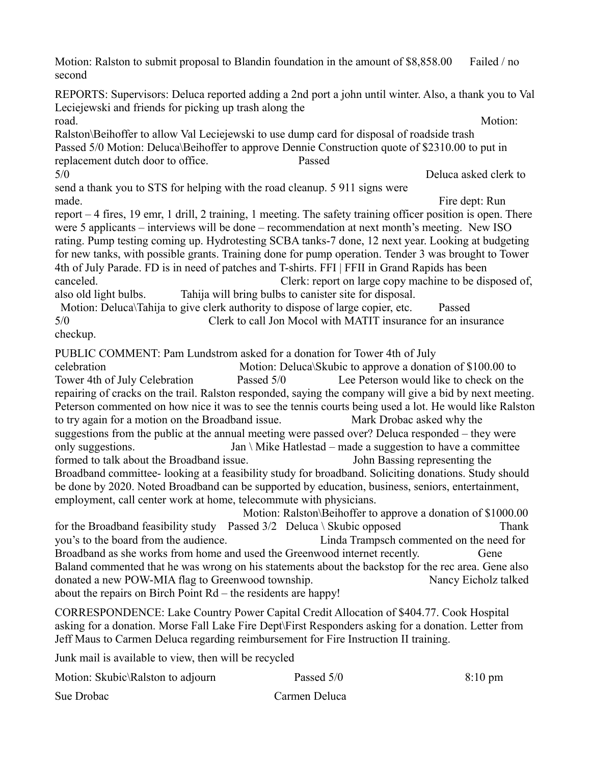Motion: Ralston to submit proposal to Blandin foundation in the amount of  $\frac{$8,858.00}{$8,858.00}$  Failed / no second REPORTS: Supervisors: Deluca reported adding a 2nd port a john until winter. Also, a thank you to Val Leciejewski and friends for picking up trash along the road. Motion: Ralston\Beihoffer to allow Val Leciejewski to use dump card for disposal of roadside trash Passed 5/0 Motion: Deluca\Beihoffer to approve Dennie Construction quote of \$2310.00 to put in replacement dutch door to office. Passed 5/0 Deluca asked clerk to send a thank you to STS for helping with the road cleanup. 5 911 signs were made. Fire dept: Run report – 4 fires, 19 emr, 1 drill, 2 training, 1 meeting. The safety training officer position is open. There were 5 applicants – interviews will be done – recommendation at next month's meeting. New ISO rating. Pump testing coming up. Hydrotesting SCBA tanks-7 done, 12 next year. Looking at budgeting for new tanks, with possible grants. Training done for pump operation. Tender 3 was brought to Tower 4th of July Parade. FD is in need of patches and T-shirts. FFI | FFII in Grand Rapids has been canceled. Clerk: report on large copy machine to be disposed of, also old light bulbs. Tahija will bring bulbs to canister site for disposal. Motion: Deluca\Tahija to give clerk authority to dispose of large copier, etc. Passed 5/0 Clerk to call Jon Mocol with MATIT insurance for an insurance checkup. PUBLIC COMMENT: Pam Lundstrom asked for a donation for Tower 4th of July celebration Motion: Deluca\Skubic to approve a donation of \$100.00 to Tower 4th of July Celebration Passed 5/0 Lee Peterson would like to check on the repairing of cracks on the trail. Ralston responded, saying the company will give a bid by next meeting. Peterson commented on how nice it was to see the tennis courts being used a lot. He would like Ralston to try again for a motion on the Broadband issue. Mark Drobac asked why the suggestions from the public at the annual meeting were passed over? Deluca responded – they were only suggestions. Jan \ Mike Hatlestad – made a suggestion to have a committee formed to talk about the Broadband issue. John Bassing representing the Broadband committee- looking at a feasibility study for broadband. Soliciting donations. Study should be done by 2020. Noted Broadband can be supported by education, business, seniors, entertainment, employment, call center work at home, telecommute with physicians. Motion: Ralston\Beihoffer to approve a donation of \$1000.00 for the Broadband feasibility study Passed  $3/2$  Deluca \ Skubic opposed Thank you's to the board from the audience. Linda Trampsch commented on the need for Broadband as she works from home and used the Greenwood internet recently. Gene Baland commented that he was wrong on his statements about the backstop for the rec area. Gene also donated a new POW-MIA flag to Greenwood township. Nancy Eicholz talked about the repairs on Birch Point Rd – the residents are happy! CORRESPONDENCE: Lake Country Power Capital Credit Allocation of \$404.77. Cook Hospital asking for a donation. Morse Fall Lake Fire Dept\First Responders asking for a donation. Letter from Jeff Maus to Carmen Deluca regarding reimbursement for Fire Instruction II training.

Junk mail is available to view, then will be recycled

| Motion: Skubic\Ralston to adjourn | Passed 5/0    | $8:10 \text{ pm}$ |
|-----------------------------------|---------------|-------------------|
| Sue Drobac                        | Carmen Deluca |                   |